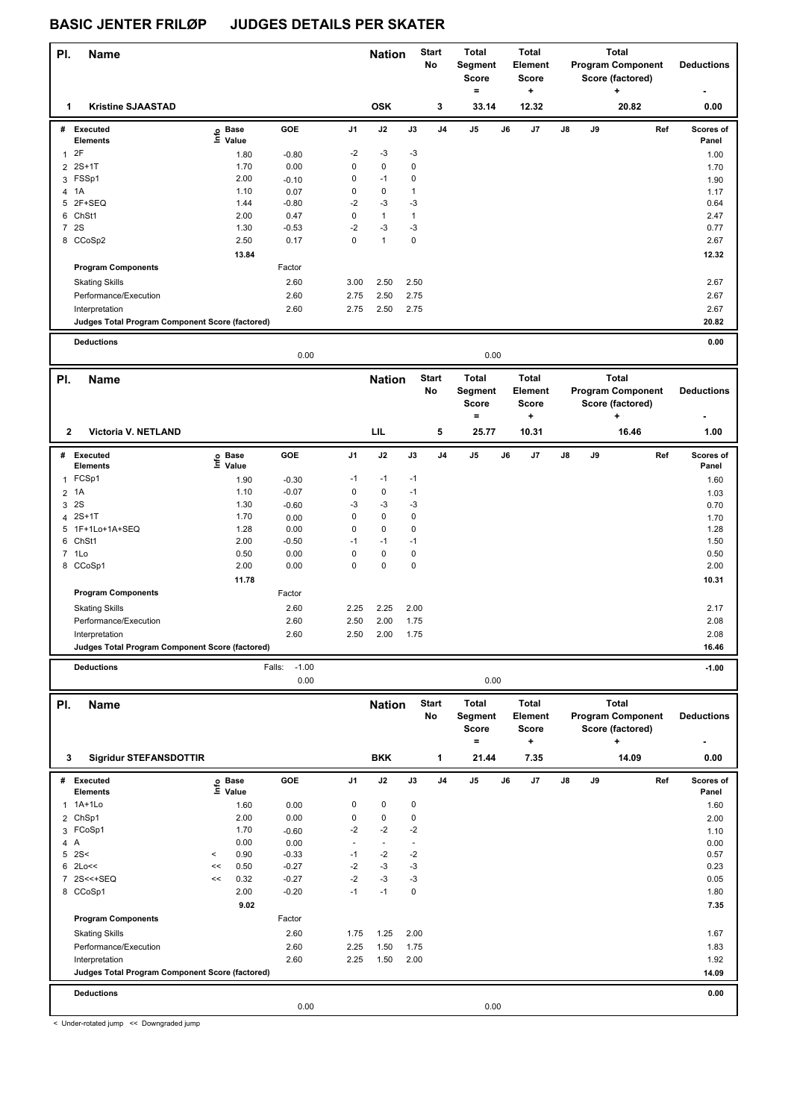## **BASIC JENTER FRILØP JUDGES DETAILS PER SKATER**

| PI.              | <b>Name</b>                                                       |                             |       |                           | <b>Nation</b> |               | <b>Start</b> | Total              |                                     | Total |                                      | Total |      |                                              |                    |
|------------------|-------------------------------------------------------------------|-----------------------------|-------|---------------------------|---------------|---------------|--------------|--------------------|-------------------------------------|-------|--------------------------------------|-------|------|----------------------------------------------|--------------------|
|                  |                                                                   |                             |       |                           |               |               |              | No                 | Segment<br><b>Score</b><br>$\equiv$ |       | <b>Element</b><br><b>Score</b><br>٠. |       |      | <b>Program Component</b><br>Score (factored) | <b>Deductions</b>  |
| 1                | <b>Kristine SJAASTAD</b>                                          |                             |       |                           |               | <b>OSK</b>    |              | 3                  | 33.14                               |       | 12.32                                |       |      | 20.82                                        | 0.00               |
|                  | # Executed<br><b>Elements</b>                                     | o Base<br>$\bar{\Xi}$ Value |       | GOE                       | J1            | J2            | J3           | J4                 | J5                                  | J6    | J7                                   | J8    | J9   | Ref                                          | Scores of          |
| 1 <sup>2</sup> F |                                                                   |                             | 1.80  | $-0.80$                   | $-2$          | $-3$          | $-3$         |                    |                                     |       |                                      |       |      |                                              | Panel<br>1.00      |
|                  | 2 2S+1T                                                           |                             | 1.70  | 0.00                      | $\mathbf 0$   | $\pmb{0}$     | $\pmb{0}$    |                    |                                     |       |                                      |       |      |                                              | 1.70               |
|                  | 3 FSSp1                                                           |                             | 2.00  | $-0.10$                   | 0             | $-1$          | $\pmb{0}$    |                    |                                     |       |                                      |       |      |                                              | 1.90               |
| 4 1A             |                                                                   |                             | 1.10  | 0.07                      | $\mathbf 0$   | $\pmb{0}$     | $\mathbf{1}$ |                    |                                     |       |                                      |       |      |                                              | 1.17               |
|                  | 5 2F+SEQ                                                          |                             | 1.44  | $-0.80$                   | $-2$          | $-3$          | $-3$         |                    |                                     |       |                                      |       |      |                                              | 0.64               |
|                  | 6 ChSt1                                                           |                             | 2.00  | 0.47                      | $\mathbf 0$   | $\mathbf{1}$  | $\mathbf{1}$ |                    |                                     |       |                                      |       |      |                                              | 2.47               |
| 7 2S             |                                                                   |                             | 1.30  | $-0.53$                   | $-2$          | $-3$          | $-3$         |                    |                                     |       |                                      |       |      |                                              | 0.77               |
|                  | 8 CCoSp2                                                          |                             | 2.50  | 0.17                      | $\mathbf 0$   | $\mathbf{1}$  | $\mathbf 0$  |                    |                                     |       |                                      |       |      |                                              | 2.67               |
|                  |                                                                   |                             | 13.84 |                           |               |               |              |                    |                                     |       |                                      |       |      |                                              | 12.32              |
|                  | <b>Program Components</b>                                         |                             |       | Factor                    |               |               |              |                    |                                     |       |                                      |       |      |                                              |                    |
|                  | <b>Skating Skills</b>                                             |                             |       | 2.60                      | 3.00          | 2.50          | 2.50         |                    |                                     |       |                                      |       |      |                                              | 2.67               |
|                  | Performance/Execution                                             |                             |       | 2.60                      | 2.75          | 2.50          | 2.75         |                    |                                     |       |                                      |       |      |                                              | 2.67               |
|                  | Interpretation<br>Judges Total Program Component Score (factored) |                             |       | 2.60                      | 2.75          | 2.50          | 2.75         |                    |                                     |       |                                      |       |      |                                              | 2.67<br>20.82      |
|                  |                                                                   |                             |       |                           |               |               |              |                    |                                     |       |                                      |       |      |                                              |                    |
|                  | <b>Deductions</b><br>0.00<br>0.00                                 |                             |       |                           |               |               |              |                    |                                     |       |                                      |       | 0.00 |                                              |                    |
| PI.              | <b>Name</b>                                                       |                             |       |                           |               | <b>Nation</b> |              | <b>Start</b>       | <b>Total</b>                        |       | <b>Total</b>                         |       |      | <b>Total</b>                                 |                    |
|                  |                                                                   |                             |       |                           |               |               |              | No                 | Segment<br><b>Score</b>             |       | <b>Element</b><br><b>Score</b>       |       |      | <b>Program Component</b><br>Score (factored) | <b>Deductions</b>  |
| 2                | Victoria V. NETLAND                                               |                             |       |                           |               | LIL           |              | 5                  | $\qquad \qquad =$<br>25.77          |       | ÷<br>10.31                           |       |      | +<br>16.46                                   | 1.00               |
|                  |                                                                   |                             |       |                           |               |               |              |                    |                                     |       |                                      |       |      |                                              |                    |
|                  | # Executed<br><b>Elements</b>                                     | e Base<br>⊑ Value           |       | GOE                       | J1            | J2            | J3           | J4                 | J5                                  | J6    | J7                                   | J8    | J9   | Ref                                          | Scores of<br>Panel |
| $\mathbf{1}$     | FCSp1                                                             |                             | 1.90  | $-0.30$                   | $-1$          | $-1$          | $-1$         |                    |                                     |       |                                      |       |      |                                              | 1.60               |
| 2 1A             |                                                                   |                             | 1.10  | $-0.07$                   | $\mathbf 0$   | $\mathbf 0$   | $-1$         |                    |                                     |       |                                      |       |      |                                              | 1.03               |
| 3                | <b>2S</b>                                                         |                             | 1.30  | $-0.60$                   | -3            | $-3$          | $-3$         |                    |                                     |       |                                      |       |      |                                              | 0.70               |
|                  | 4 2S+1T                                                           |                             | 1.70  | 0.00                      | $\mathbf 0$   | $\pmb{0}$     | $\pmb{0}$    |                    |                                     |       |                                      |       |      |                                              | 1.70               |
|                  | 5 1F+1Lo+1A+SEQ                                                   |                             | 1.28  | 0.00                      | $\mathbf 0$   | $\pmb{0}$     | $\mathbf 0$  |                    |                                     |       |                                      |       |      |                                              | 1.28               |
|                  | 6 ChSt1                                                           |                             | 2.00  | $-0.50$                   | $-1$          | $-1$          | $-1$         |                    |                                     |       |                                      |       |      |                                              | 1.50               |
|                  | 7 1Lo                                                             |                             | 0.50  | 0.00                      | $\mathbf 0$   | $\pmb{0}$     | $\pmb{0}$    |                    |                                     |       |                                      |       |      |                                              | 0.50               |
|                  | 8 CCoSp1                                                          |                             | 2.00  | 0.00                      | $\Omega$      | 0             | $\pmb{0}$    |                    |                                     |       |                                      |       |      |                                              | 2.00               |
|                  |                                                                   |                             | 11.78 |                           |               |               |              |                    |                                     |       |                                      |       |      |                                              | 10.31              |
|                  | <b>Program Components</b>                                         |                             |       | Factor                    |               |               |              |                    |                                     |       |                                      |       |      |                                              |                    |
|                  | <b>Skating Skills</b>                                             |                             |       | 2.60                      | 2.25          | 2.25          | 2.00         |                    |                                     |       |                                      |       |      |                                              | 2.17               |
|                  | Performance/Execution                                             |                             |       | 2.60                      | 2.50          | 2.00          | 1.75         |                    |                                     |       |                                      |       |      |                                              | 2.08               |
|                  | Interpretation<br>Judges Total Program Component Score (factored) |                             |       | 2.60                      | 2.50          | 2.00          | 1.75         |                    |                                     |       |                                      |       |      |                                              | 2.08<br>16.46      |
|                  |                                                                   |                             |       |                           |               |               |              |                    |                                     |       |                                      |       |      |                                              |                    |
|                  | <b>Deductions</b>                                                 |                             |       | $-1.00$<br>Falls:<br>0.00 |               |               |              |                    | 0.00                                |       |                                      |       |      |                                              | $-1.00$            |
|                  |                                                                   |                             |       |                           |               |               |              |                    |                                     |       |                                      |       |      |                                              |                    |
| PI.              | Name                                                              |                             |       |                           |               | <b>Nation</b> |              | <b>Start</b><br>No | <b>Total</b><br>Segment             |       | <b>Total</b><br>Element              |       |      | Total<br><b>Program Component</b>            | <b>Deductions</b>  |
|                  |                                                                   |                             |       |                           |               |               |              |                    | Score                               |       | Score                                |       |      | Score (factored)                             |                    |
|                  |                                                                   |                             |       |                           |               |               |              |                    | $=$                                 |       | ÷                                    |       |      | +                                            |                    |
| 3                | <b>Sigridur STEFANSDOTTIR</b>                                     |                             |       |                           |               | <b>BKK</b>    |              | 1                  | 21.44                               |       | 7.35                                 |       |      | 14.09                                        | 0.00               |
|                  | # Executed<br><b>Elements</b>                                     | e Base<br>⊑ Value           |       | GOE                       | J1            | J2            | J3           | J4                 | J5                                  | J6    | J7                                   | J8    | J9   | Ref                                          | Scores of          |
|                  | 1 1A+1Lo                                                          |                             | 1.60  | 0.00                      | 0             | 0             | 0            |                    |                                     |       |                                      |       |      |                                              | Panel<br>1.60      |
|                  | 2 ChSp1                                                           |                             | 2.00  | 0.00                      | $\pmb{0}$     | $\pmb{0}$     | $\mathbf 0$  |                    |                                     |       |                                      |       |      |                                              | 2.00               |
|                  | 3 FCoSp1                                                          |                             | 1.70  | $-0.60$                   | $-2$          | $-2$          | $-2$         |                    |                                     |       |                                      |       |      |                                              | 1.10               |
| 4 A              |                                                                   |                             | 0.00  | 0.00                      | ä,            | $\omega$      | ÷,           |                    |                                     |       |                                      |       |      |                                              | 0.00               |
|                  | 5 2S<                                                             | $\,<$                       | 0.90  | $-0.33$                   | $-1$          | $-2$          | $-2$         |                    |                                     |       |                                      |       |      |                                              | 0.57               |
|                  | $6$ 2Lo $<<$                                                      | $\,<$                       | 0.50  | $-0.27$                   | $-2$          | $-3$          | $-3$         |                    |                                     |       |                                      |       |      |                                              | 0.23               |
|                  | 7 2S<<+SEQ                                                        | <<                          | 0.32  | $-0.27$                   | $-2$          | $-3$          | $-3$         |                    |                                     |       |                                      |       |      |                                              | 0.05               |
|                  | 8 CCoSp1                                                          |                             | 2.00  | $-0.20$                   | $-1$          | $-1$          | 0            |                    |                                     |       |                                      |       |      |                                              | 1.80               |
|                  | <b>Program Components</b>                                         |                             | 9.02  | Factor                    |               |               |              |                    |                                     |       |                                      |       |      |                                              | 7.35               |
|                  |                                                                   |                             |       |                           |               |               |              |                    |                                     |       |                                      |       |      |                                              |                    |
|                  | <b>Skating Skills</b><br>Performance/Execution                    |                             |       | 2.60<br>2.60              | 1.75<br>2.25  | 1.25<br>1.50  | 2.00<br>1.75 |                    |                                     |       |                                      |       |      |                                              | 1.67<br>1.83       |
|                  | Interpretation                                                    |                             |       | 2.60                      | 2.25          | 1.50          | 2.00         |                    |                                     |       |                                      |       |      |                                              | 1.92               |
|                  | Judges Total Program Component Score (factored)                   |                             |       |                           |               |               |              |                    |                                     |       |                                      |       |      |                                              | 14.09              |
|                  |                                                                   |                             |       |                           |               |               |              |                    |                                     |       |                                      |       |      |                                              |                    |
|                  | <b>Deductions</b>                                                 |                             |       | 0.00                      |               |               |              |                    | 0.00                                |       |                                      |       |      |                                              | 0.00               |

< Under-rotated jump << Downgraded jump